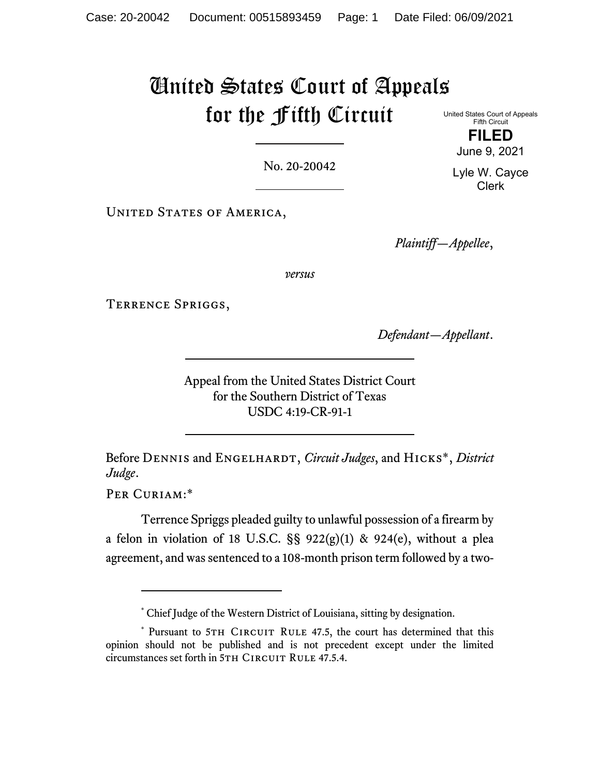# United States Court of Appeals for the Fifth Circuit United States Court of Appeals

No. 20-20042

UNITED STATES OF AMERICA,

*Plaintiff—Appellee*,

*versus*

Terrence Spriggs,

*Defendant—Appellant*.

Appeal from the United States District Court for the Southern District of Texas USDC 4:19-CR-91-1

Before DENNIS and ENGELHARDT, *Circuit Judges*, and HICKS<sup>\*</sup>, *District Judge*.

Per Curiam:\*

Terrence Spriggs pleaded guilty to unlawful possession of a firearm by a felon in violation of 18 U.S.C.  $\S$ § 922(g)(1) & 924(e), without a plea agreement, and was sentenced to a 108-month prison term followed by a two-

**FILED**  June 9, 2021

Fifth Circuit

Lyle W. Cayce Clerk

<sup>\*</sup> Chief Judge of the Western District of Louisiana, sitting by designation.

<sup>\*</sup> Pursuant to 5TH CIRCUIT RULE 47.5, the court has determined that this opinion should not be published and is not precedent except under the limited circumstances set forth in 5TH CIRCUIT RULE 47.5.4.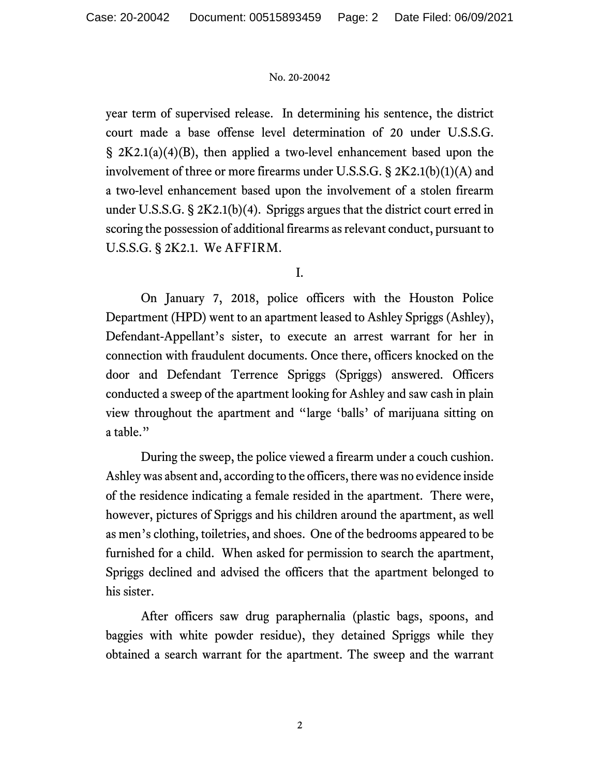year term of supervised release. In determining his sentence, the district court made a base offense level determination of 20 under U.S.S.G. § 2K2.1(a)(4)(B), then applied a two-level enhancement based upon the involvement of three or more firearms under U.S.S.G. § 2K2.1(b)(1)(A) and a two-level enhancement based upon the involvement of a stolen firearm under U.S.S.G. § 2K2.1(b)(4). Spriggs argues that the district court erred in scoring the possession of additional firearms as relevant conduct, pursuant to U.S.S.G. § 2K2.1. We AFFIRM.

I.

 On January 7, 2018, police officers with the Houston Police Department (HPD) went to an apartment leased to Ashley Spriggs (Ashley), Defendant-Appellant's sister, to execute an arrest warrant for her in connection with fraudulent documents. Once there, officers knocked on the door and Defendant Terrence Spriggs (Spriggs) answered. Officers conducted a sweep of the apartment looking for Ashley and saw cash in plain view throughout the apartment and "large 'balls' of marijuana sitting on a table."

 During the sweep, the police viewed a firearm under a couch cushion. Ashley was absent and, according to the officers, there was no evidence inside of the residence indicating a female resided in the apartment.There were, however, pictures of Spriggs and his children around the apartment, as well as men's clothing, toiletries, and shoes. One of the bedrooms appeared to be furnished for a child. When asked for permission to search the apartment, Spriggs declined and advised the officers that the apartment belonged to his sister.

 After officers saw drug paraphernalia (plastic bags, spoons, and baggies with white powder residue), they detained Spriggs while they obtained a search warrant for the apartment. The sweep and the warrant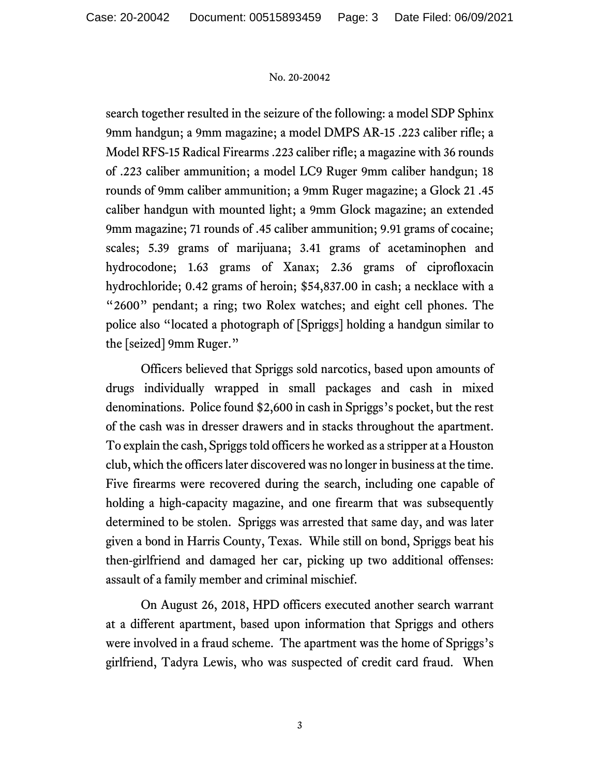search together resulted in the seizure of the following: a model SDP Sphinx 9mm handgun; a 9mm magazine; a model DMPS AR-15 .223 caliber rifle; a Model RFS-15 Radical Firearms .223 caliber rifle; a magazine with 36 rounds of .223 caliber ammunition; a model LC9 Ruger 9mm caliber handgun; 18 rounds of 9mm caliber ammunition; a 9mm Ruger magazine; a Glock 21 .45 caliber handgun with mounted light; a 9mm Glock magazine; an extended 9mm magazine; 71 rounds of .45 caliber ammunition; 9.91 grams of cocaine; scales; 5.39 grams of marijuana; 3.41 grams of acetaminophen and hydrocodone; 1.63 grams of Xanax; 2.36 grams of ciprofloxacin hydrochloride; 0.42 grams of heroin; \$54,837.00 in cash; a necklace with a "2600" pendant; a ring; two Rolex watches; and eight cell phones. The police also "located a photograph of [Spriggs] holding a handgun similar to the [seized] 9mm Ruger."

 Officers believed that Spriggs sold narcotics, based upon amounts of drugs individually wrapped in small packages and cash in mixed denominations. Police found \$2,600 in cash in Spriggs's pocket, but the rest of the cash was in dresser drawers and in stacks throughout the apartment. To explain the cash, Spriggs told officers he worked as a stripper at a Houston club, which the officers later discovered was no longer in business at the time. Five firearms were recovered during the search, including one capable of holding a high-capacity magazine, and one firearm that was subsequently determined to be stolen. Spriggs was arrested that same day, and was later given a bond in Harris County, Texas. While still on bond, Spriggs beat his then-girlfriend and damaged her car, picking up two additional offenses: assault of a family member and criminal mischief.

 On August 26, 2018, HPD officers executed another search warrant at a different apartment, based upon information that Spriggs and others were involved in a fraud scheme. The apartment was the home of Spriggs's girlfriend, Tadyra Lewis, who was suspected of credit card fraud. When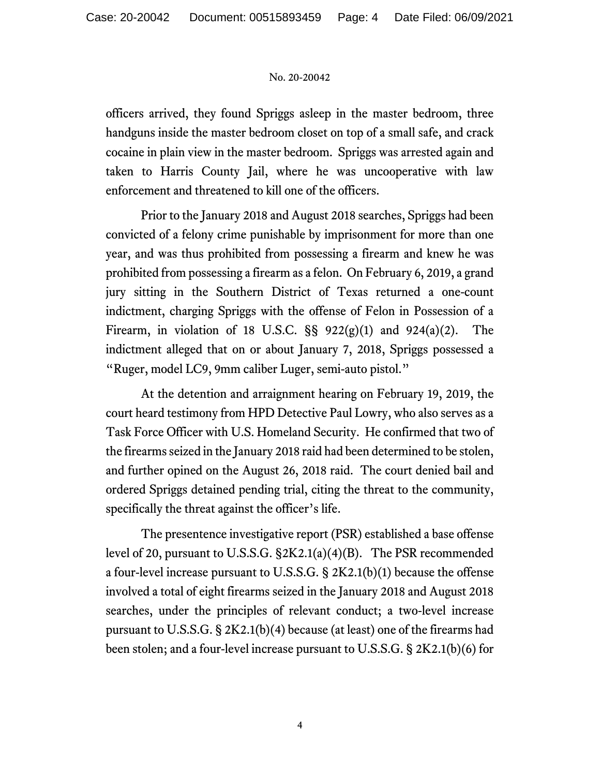officers arrived, they found Spriggs asleep in the master bedroom, three handguns inside the master bedroom closet on top of a small safe, and crack cocaine in plain view in the master bedroom. Spriggs was arrested again and taken to Harris County Jail, where he was uncooperative with law enforcement and threatened to kill one of the officers.

 Prior to the January 2018 and August 2018 searches, Spriggs had been convicted of a felony crime punishable by imprisonment for more than one year, and was thus prohibited from possessing a firearm and knew he was prohibited from possessing a firearm as a felon. On February 6, 2019, a grand jury sitting in the Southern District of Texas returned a one-count indictment, charging Spriggs with the offense of Felon in Possession of a Firearm, in violation of 18 U.S.C.  $\S$ § 922(g)(1) and 924(a)(2). The indictment alleged that on or about January 7, 2018, Spriggs possessed a "Ruger, model LC9, 9mm caliber Luger, semi-auto pistol."

 At the detention and arraignment hearing on February 19, 2019, the court heard testimony from HPD Detective Paul Lowry, who also serves as a Task Force Officer with U.S. Homeland Security. He confirmed that two of the firearms seized in the January 2018 raid had been determined to be stolen, and further opined on the August 26, 2018 raid. The court denied bail and ordered Spriggs detained pending trial, citing the threat to the community, specifically the threat against the officer's life.

 The presentence investigative report (PSR) established a base offense level of 20, pursuant to U.S.S.G. §2K2.1(a)(4)(B). The PSR recommended a four-level increase pursuant to U.S.S.G. § 2K2.1(b)(1) because the offense involved a total of eight firearms seized in the January 2018 and August 2018 searches, under the principles of relevant conduct; a two-level increase pursuant to U.S.S.G. § 2K2.1(b)(4) because (at least) one of the firearms had been stolen; and a four-level increase pursuant to U.S.S.G. § 2K2.1(b)(6) for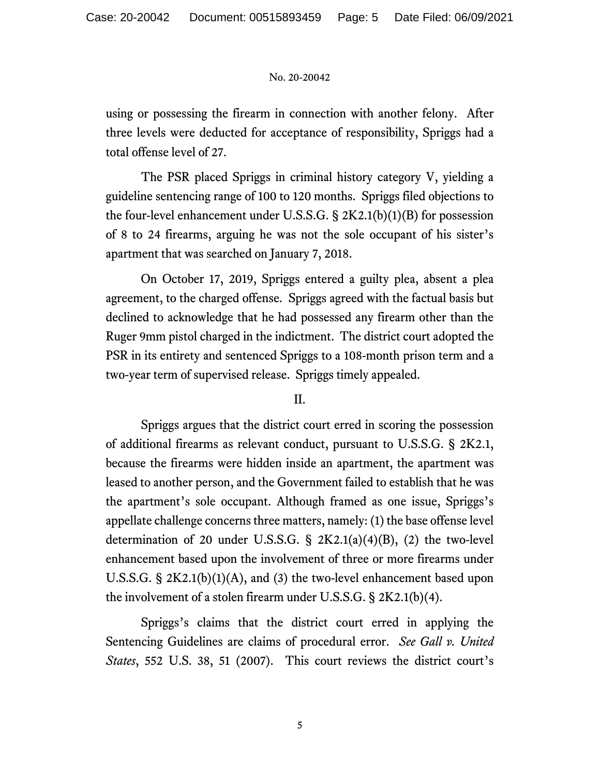using or possessing the firearm in connection with another felony. After three levels were deducted for acceptance of responsibility, Spriggs had a total offense level of 27.

 The PSR placed Spriggs in criminal history category V, yielding a guideline sentencing range of 100 to 120 months. Spriggs filed objections to the four-level enhancement under U.S.S.G. § 2K2.1(b)(1)(B) for possession of 8 to 24 firearms, arguing he was not the sole occupant of his sister's apartment that was searched on January 7, 2018.

 On October 17, 2019, Spriggs entered a guilty plea, absent a plea agreement, to the charged offense. Spriggs agreed with the factual basis but declined to acknowledge that he had possessed any firearm other than the Ruger 9mm pistol charged in the indictment. The district court adopted the PSR in its entirety and sentenced Spriggs to a 108-month prison term and a two-year term of supervised release. Spriggs timely appealed.

### II.

 Spriggs argues that the district court erred in scoring the possession of additional firearms as relevant conduct, pursuant to U.S.S.G. § 2K2.1, because the firearms were hidden inside an apartment, the apartment was leased to another person, and the Government failed to establish that he was the apartment's sole occupant. Although framed as one issue, Spriggs's appellate challenge concerns three matters, namely: (1) the base offense level determination of 20 under U.S.S.G.  $\S$  2K2.1(a)(4)(B), (2) the two-level enhancement based upon the involvement of three or more firearms under U.S.S.G. § 2K2.1(b)(1)(A), and (3) the two-level enhancement based upon the involvement of a stolen firearm under U.S.S.G. § 2K2.1(b)(4).

 Spriggs's claims that the district court erred in applying the Sentencing Guidelines are claims of procedural error. *See Gall v. United States*, 552 U.S. 38, 51 (2007). This court reviews the district court's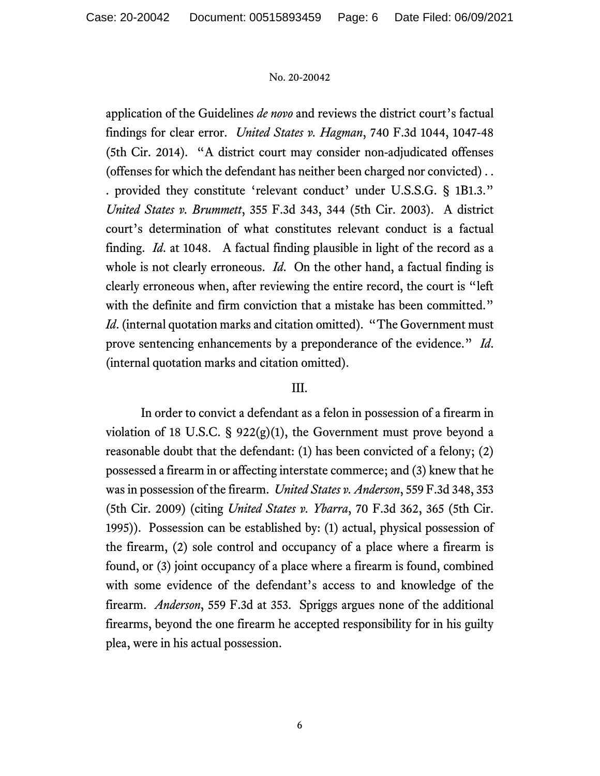application of the Guidelines *de novo* and reviews the district court's factual findings for clear error. *United States v. Hagman*, 740 F.3d 1044, 1047-48 (5th Cir. 2014). "A district court may consider non-adjudicated offenses (offenses for which the defendant has neither been charged nor convicted) . . . provided they constitute 'relevant conduct' under U.S.S.G. § 1B1.3." *United States v. Brummett*, 355 F.3d 343, 344 (5th Cir. 2003). A district court's determination of what constitutes relevant conduct is a factual finding. *Id*. at 1048. A factual finding plausible in light of the record as a whole is not clearly erroneous. *Id*. On the other hand, a factual finding is clearly erroneous when, after reviewing the entire record, the court is "left with the definite and firm conviction that a mistake has been committed." *Id.* (internal quotation marks and citation omitted). "The Government must prove sentencing enhancements by a preponderance of the evidence." *Id*. (internal quotation marks and citation omitted).

### III.

 In order to convict a defendant as a felon in possession of a firearm in violation of 18 U.S.C.  $\S$  922(g)(1), the Government must prove beyond a reasonable doubt that the defendant: (1) has been convicted of a felony; (2) possessed a firearm in or affecting interstate commerce; and (3) knew that he was in possession of the firearm. *United States v. Anderson*, 559 F.3d 348, 353 (5th Cir. 2009) (citing *United States v. Ybarra*, 70 F.3d 362, 365 (5th Cir. 1995)). Possession can be established by: (1) actual, physical possession of the firearm, (2) sole control and occupancy of a place where a firearm is found, or (3) joint occupancy of a place where a firearm is found, combined with some evidence of the defendant's access to and knowledge of the firearm. *Anderson*, 559 F.3d at 353. Spriggs argues none of the additional firearms, beyond the one firearm he accepted responsibility for in his guilty plea, were in his actual possession.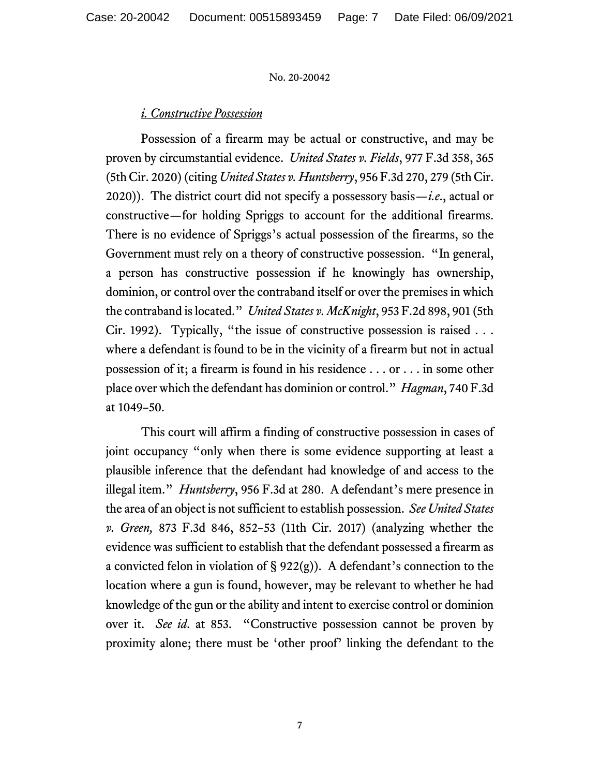### *i. Constructive Possession*

 Possession of a firearm may be actual or constructive, and may be proven by circumstantial evidence. *United States v. Fields*, 977 F.3d 358, 365 (5th Cir. 2020) (citing *United States v. Huntsberry*, 956 F.3d 270, 279 (5th Cir. 2020)). The district court did not specify a possessory basis—*i.e*., actual or constructive—for holding Spriggs to account for the additional firearms. There is no evidence of Spriggs's actual possession of the firearms, so the Government must rely on a theory of constructive possession. "In general, a person has constructive possession if he knowingly has ownership, dominion, or control over the contraband itself or over the premises in which the contraband is located." *United States v. McKnight*, 953 F.2d 898, 901 (5th Cir. 1992). Typically, "the issue of constructive possession is raised . . . where a defendant is found to be in the vicinity of a firearm but not in actual possession of it; a firearm is found in his residence . . . or . . . in some other place over which the defendant has dominion or control." *Hagman*, 740 F.3d at 1049–50.

 This court will affirm a finding of constructive possession in cases of joint occupancy "only when there is some evidence supporting at least a plausible inference that the defendant had knowledge of and access to the illegal item." *Huntsberry*, 956 F.3d at 280. A defendant's mere presence in the area of an object is not sufficient to establish possession. *See United States v. Green,* 873 F.3d 846, 852–53 (11th Cir. 2017) (analyzing whether the evidence was sufficient to establish that the defendant possessed a firearm as a convicted felon in violation of  $\S$  922(g)). A defendant's connection to the location where a gun is found, however, may be relevant to whether he had knowledge of the gun or the ability and intent to exercise control or dominion over it. *See id*. at 853. "Constructive possession cannot be proven by proximity alone; there must be 'other proof' linking the defendant to the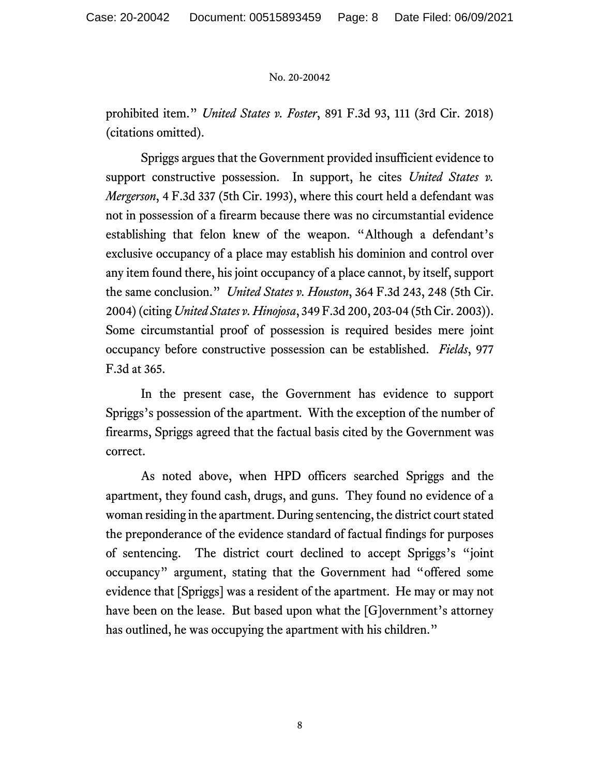prohibited item." *United States v. Foster*, 891 F.3d 93, 111 (3rd Cir. 2018) (citations omitted).

 Spriggs argues that the Government provided insufficient evidence to support constructive possession. In support, he cites *United States v. Mergerson*, 4 F.3d 337 (5th Cir. 1993), where this court held a defendant was not in possession of a firearm because there was no circumstantial evidence establishing that felon knew of the weapon. "Although a defendant's exclusive occupancy of a place may establish his dominion and control over any item found there, his joint occupancy of a place cannot, by itself, support the same conclusion." *United States v. Houston*, 364 F.3d 243, 248 (5th Cir. 2004) (citing *United States v. Hinojosa*, 349 F.3d 200, 203-04 (5th Cir. 2003)). Some circumstantial proof of possession is required besides mere joint occupancy before constructive possession can be established. *Fields*, 977 F.3d at 365.

 In the present case, the Government has evidence to support Spriggs's possession of the apartment. With the exception of the number of firearms, Spriggs agreed that the factual basis cited by the Government was correct.

 As noted above, when HPD officers searched Spriggs and the apartment, they found cash, drugs, and guns. They found no evidence of a woman residing in the apartment. During sentencing, the district court stated the preponderance of the evidence standard of factual findings for purposes of sentencing. The district court declined to accept Spriggs's "joint occupancy" argument, stating that the Government had "offered some evidence that [Spriggs] was a resident of the apartment. He may or may not have been on the lease. But based upon what the [G]overnment's attorney has outlined, he was occupying the apartment with his children."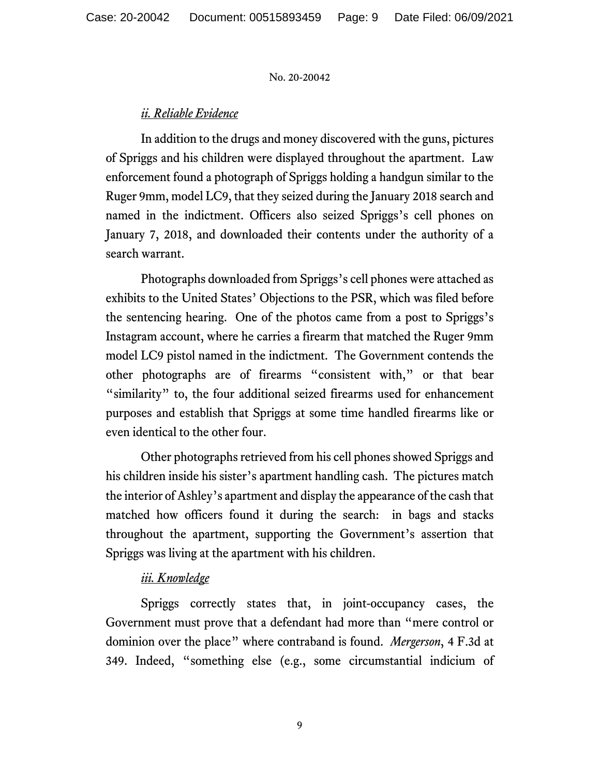### *ii. Reliable Evidence*

 In addition to the drugs and money discovered with the guns, pictures of Spriggs and his children were displayed throughout the apartment. Law enforcement found a photograph of Spriggs holding a handgun similar to the Ruger 9mm, model LC9, that they seized during the January 2018 search and named in the indictment. Officers also seized Spriggs's cell phones on January 7, 2018, and downloaded their contents under the authority of a search warrant.

 Photographs downloaded from Spriggs's cell phones were attached as exhibits to the United States' Objections to the PSR, which was filed before the sentencing hearing. One of the photos came from a post to Spriggs's Instagram account, where he carries a firearm that matched the Ruger 9mm model LC9 pistol named in the indictment. The Government contends the other photographs are of firearms "consistent with," or that bear "similarity" to, the four additional seized firearms used for enhancement purposes and establish that Spriggs at some time handled firearms like or even identical to the other four.

 Other photographs retrieved from his cell phones showed Spriggs and his children inside his sister's apartment handling cash. The pictures match the interior of Ashley's apartment and display the appearance of the cash that matched how officers found it during the search: in bags and stacks throughout the apartment, supporting the Government's assertion that Spriggs was living at the apartment with his children.

# *iii. Knowledge*

 Spriggs correctly states that, in joint-occupancy cases, the Government must prove that a defendant had more than "mere control or dominion over the place" where contraband is found. *Mergerson*, 4 F.3d at 349. Indeed, "something else (e.g., some circumstantial indicium of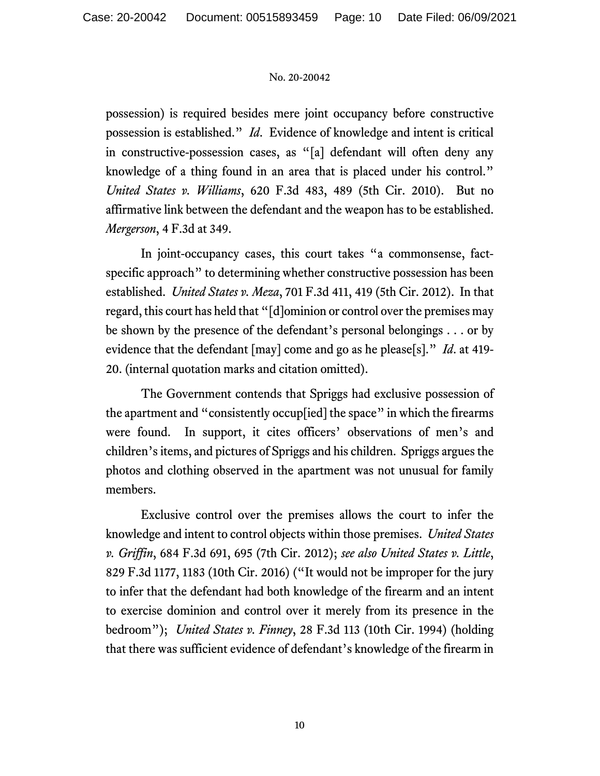possession) is required besides mere joint occupancy before constructive possession is established." *Id*. Evidence of knowledge and intent is critical in constructive-possession cases, as "[a] defendant will often deny any knowledge of a thing found in an area that is placed under his control." *United States v. Williams*, 620 F.3d 483, 489 (5th Cir. 2010). But no affirmative link between the defendant and the weapon has to be established. *Mergerson*, 4 F.3d at 349.

 In joint-occupancy cases, this court takes "a commonsense, factspecific approach" to determining whether constructive possession has been established. *United States v. Meza*, 701 F.3d 411, 419 (5th Cir. 2012). In that regard, this court has held that "[d]ominion or control over the premises may be shown by the presence of the defendant's personal belongings . . . or by evidence that the defendant [may] come and go as he please[s]." *Id*. at 419- 20. (internal quotation marks and citation omitted).

 The Government contends that Spriggs had exclusive possession of the apartment and "consistently occup[ied] the space" in which the firearms were found. In support, it cites officers' observations of men's and children's items, and pictures of Spriggs and his children. Spriggs argues the photos and clothing observed in the apartment was not unusual for family members.

 Exclusive control over the premises allows the court to infer the knowledge and intent to control objects within those premises. *United States v. Griffin*, 684 F.3d 691, 695 (7th Cir. 2012); *see also United States v. Little*, 829 F.3d 1177, 1183 (10th Cir. 2016) ("It would not be improper for the jury to infer that the defendant had both knowledge of the firearm and an intent to exercise dominion and control over it merely from its presence in the bedroom"); *United States v. Finney*, 28 F.3d 113 (10th Cir. 1994) (holding that there was sufficient evidence of defendant's knowledge of the firearm in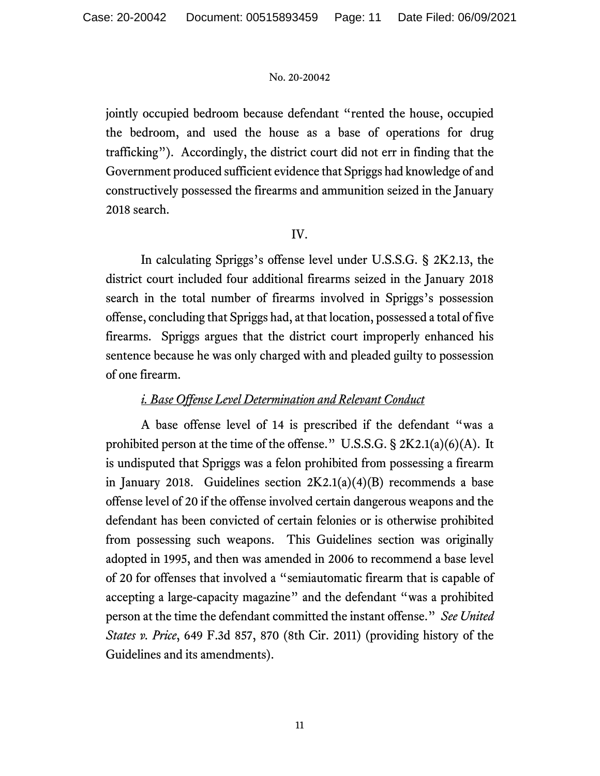jointly occupied bedroom because defendant "rented the house, occupied the bedroom, and used the house as a base of operations for drug trafficking"). Accordingly, the district court did not err in finding that the Government produced sufficient evidence that Spriggs had knowledge of and constructively possessed the firearms and ammunition seized in the January 2018 search.

### IV.

 In calculating Spriggs's offense level under U.S.S.G. § 2K2.13, the district court included four additional firearms seized in the January 2018 search in the total number of firearms involved in Spriggs's possession offense, concluding that Spriggs had, at that location, possessed a total of five firearms. Spriggs argues that the district court improperly enhanced his sentence because he was only charged with and pleaded guilty to possession of one firearm.

# *i. Base Offense Level Determination and Relevant Conduct*

 A base offense level of 14 is prescribed if the defendant "was a prohibited person at the time of the offense." U.S.S.G. § 2K2.1(a)(6)(A). It is undisputed that Spriggs was a felon prohibited from possessing a firearm in January 2018. Guidelines section 2K2.1(a)(4)(B) recommends a base offense level of 20 if the offense involved certain dangerous weapons and the defendant has been convicted of certain felonies or is otherwise prohibited from possessing such weapons. This Guidelines section was originally adopted in 1995, and then was amended in 2006 to recommend a base level of 20 for offenses that involved a "semiautomatic firearm that is capable of accepting a large-capacity magazine" and the defendant "was a prohibited person at the time the defendant committed the instant offense." *See United States v. Price*, 649 F.3d 857, 870 (8th Cir. 2011) (providing history of the Guidelines and its amendments).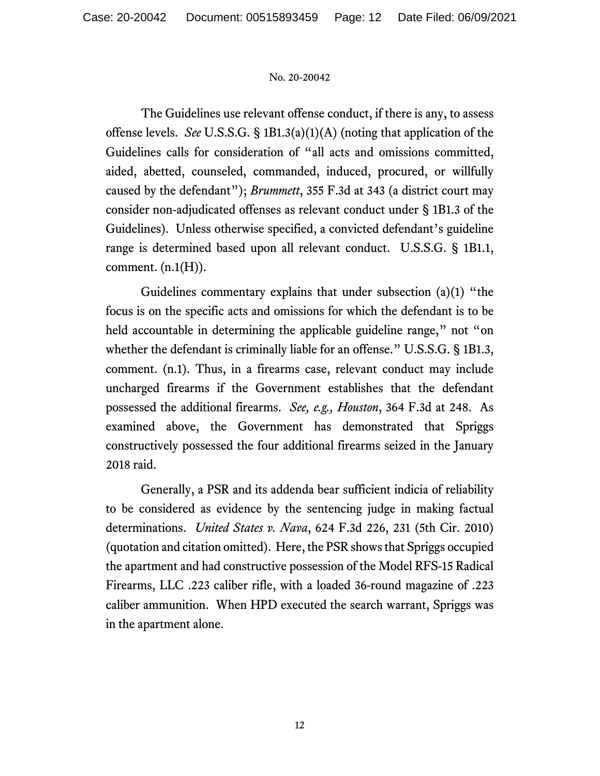The Guidelines use relevant offense conduct, if there is any, to assess offense levels. *See* U.S.S.G. § 1B1.3(a)(1)(A) (noting that application of the Guidelines calls for consideration of "all acts and omissions committed, aided, abetted, counseled, commanded, induced, procured, or willfully caused by the defendant"); *Brummett*, 355 F.3d at 343 (a district court may consider non-adjudicated offenses as relevant conduct under § 1B1.3 of the Guidelines). Unless otherwise specified, a convicted defendant's guideline range is determined based upon all relevant conduct. U.S.S.G. § 1B1.1, comment.  $(n.1(H))$ .

 Guidelines commentary explains that under subsection (a)(1) "the focus is on the specific acts and omissions for which the defendant is to be held accountable in determining the applicable guideline range," not "on whether the defendant is criminally liable for an offense." U.S.S.G. § 1B1.3, comment. (n.1). Thus, in a firearms case, relevant conduct may include uncharged firearms if the Government establishes that the defendant possessed the additional firearms. *See, e.g., Houston*, 364 F.3d at 248. As examined above, the Government has demonstrated that Spriggs constructively possessed the four additional firearms seized in the January 2018 raid.

 Generally, a PSR and its addenda bear sufficient indicia of reliability to be considered as evidence by the sentencing judge in making factual determinations. *United States v. Nava*, 624 F.3d 226, 231 (5th Cir. 2010) (quotation and citation omitted). Here, the PSR shows that Spriggs occupied the apartment and had constructive possession of the Model RFS-15 Radical Firearms, LLC .223 caliber rifle, with a loaded 36-round magazine of .223 caliber ammunition. When HPD executed the search warrant, Spriggs was in the apartment alone.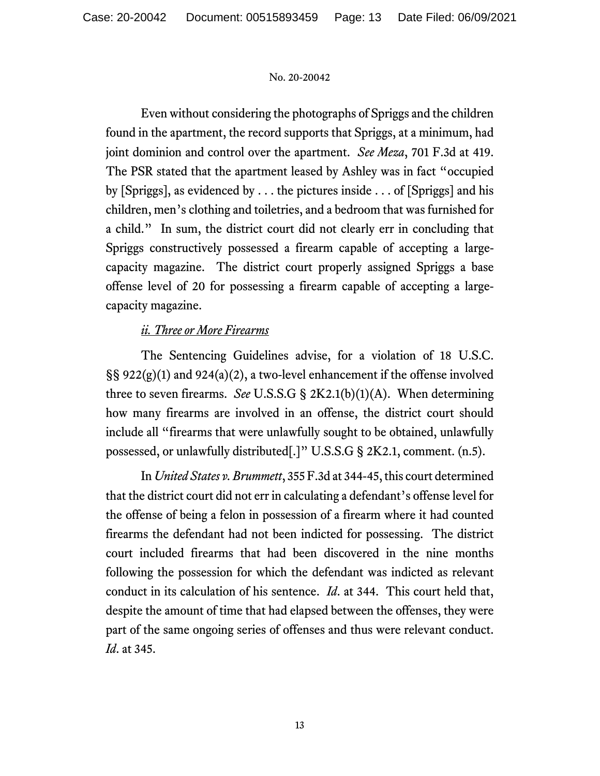Even without considering the photographs of Spriggs and the children found in the apartment, the record supports that Spriggs, at a minimum, had joint dominion and control over the apartment. *See Meza*, 701 F.3d at 419. The PSR stated that the apartment leased by Ashley was in fact "occupied by [Spriggs], as evidenced by . . . the pictures inside . . . of [Spriggs] and his children, men's clothing and toiletries, and a bedroom that was furnished for a child." In sum, the district court did not clearly err in concluding that Spriggs constructively possessed a firearm capable of accepting a largecapacity magazine. The district court properly assigned Spriggs a base offense level of 20 for possessing a firearm capable of accepting a largecapacity magazine.

# *ii. Three or More Firearms*

 The Sentencing Guidelines advise, for a violation of 18 U.S.C. §§ 922(g)(1) and 924(a)(2), a two-level enhancement if the offense involved three to seven firearms. *See* U.S.S.G § 2K2.1(b)(1)(A). When determining how many firearms are involved in an offense, the district court should include all "firearms that were unlawfully sought to be obtained, unlawfully possessed, or unlawfully distributed[.]" U.S.S.G § 2K2.1, comment. (n.5).

 In *United States v. Brummett*, 355 F.3d at 344-45, this court determined that the district court did not err in calculating a defendant's offense level for the offense of being a felon in possession of a firearm where it had counted firearms the defendant had not been indicted for possessing. The district court included firearms that had been discovered in the nine months following the possession for which the defendant was indicted as relevant conduct in its calculation of his sentence. *Id*. at 344. This court held that, despite the amount of time that had elapsed between the offenses, they were part of the same ongoing series of offenses and thus were relevant conduct. *Id*. at 345.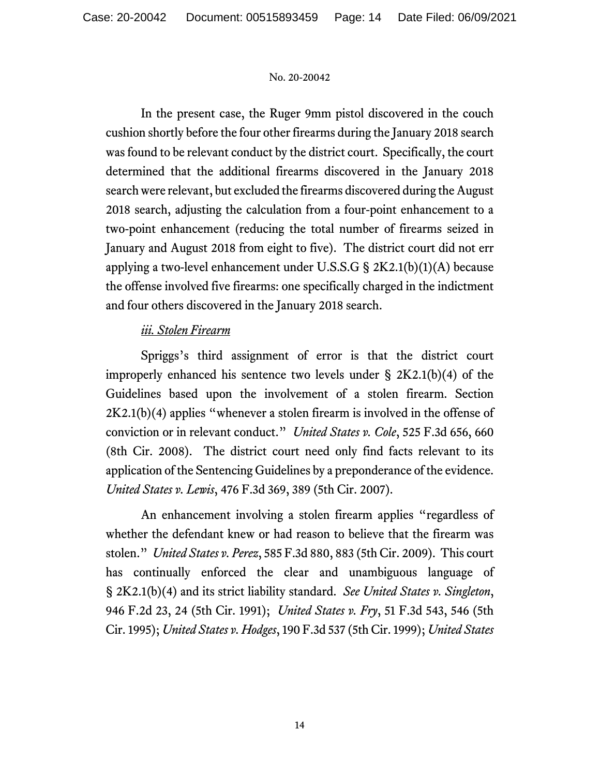In the present case, the Ruger 9mm pistol discovered in the couch cushion shortly before the four other firearms during the January 2018 search was found to be relevant conduct by the district court. Specifically, the court determined that the additional firearms discovered in the January 2018 search were relevant, but excluded the firearms discovered during the August 2018 search, adjusting the calculation from a four-point enhancement to a two-point enhancement (reducing the total number of firearms seized in January and August 2018 from eight to five). The district court did not err applying a two-level enhancement under U.S.S.G  $\S 2K2.1(b)(1)(A)$  because the offense involved five firearms: one specifically charged in the indictment and four others discovered in the January 2018 search.

# *iii. Stolen Firearm*

 Spriggs's third assignment of error is that the district court improperly enhanced his sentence two levels under  $\S 2K2.1(b)(4)$  of the Guidelines based upon the involvement of a stolen firearm. Section  $2K2.1(b)(4)$  applies "whenever a stolen firearm is involved in the offense of conviction or in relevant conduct." *United States v. Cole*, 525 F.3d 656, 660 (8th Cir. 2008). The district court need only find facts relevant to its application of the Sentencing Guidelines by a preponderance of the evidence. *United States v. Lewis*, 476 F.3d 369, 389 (5th Cir. 2007).

 An enhancement involving a stolen firearm applies "regardless of whether the defendant knew or had reason to believe that the firearm was stolen." *United States v. Perez*, 585 F.3d 880, 883 (5th Cir. 2009). This court has continually enforced the clear and unambiguous language of § 2K2.1(b)(4) and its strict liability standard. *See United States v. Singleton*, 946 F.2d 23, 24 (5th Cir. 1991); *United States v. Fry*, 51 F.3d 543, 546 (5th Cir. 1995); *United States v. Hodges*, 190 F.3d 537 (5th Cir. 1999); *United States*